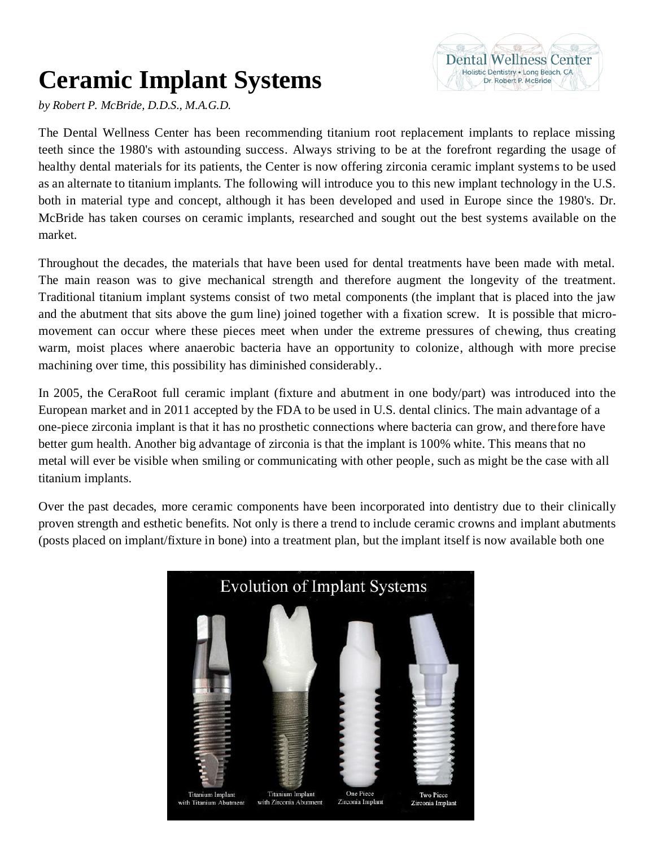## **Ceramic Implant Systems**

*by Robert P. McBride, D.D.S., M.A.G.D.*

The Dental Wellness Center has been recommending titanium root replacement implants to replace missing teeth since the 1980's with astounding success. Always striving to be at the forefront regarding the usage of healthy dental materials for its patients, the Center is now offering zirconia ceramic implant systems to be used as an alternate to titanium implants. The following will introduce you to this new implant technology in the U.S. both in material type and concept, although it has been developed and used in Europe since the 1980's. Dr. McBride has taken courses on ceramic implants, researched and sought out the best systems available on the market.

**Dental Wellness Center** Holistic Dentistry . Long Beach, CA Dr. Robert P McBride

Throughout the decades, the materials that have been used for dental treatments have been made with metal. The main reason was to give mechanical strength and therefore augment the longevity of the treatment. Traditional titanium implant systems consist of two metal components (the implant that is placed into the jaw and the abutment that sits above the gum line) joined together with a fixation screw. It is possible that micromovement can occur where these pieces meet when under the extreme pressures of chewing, thus creating warm, moist places where anaerobic bacteria have an opportunity to colonize, although with more precise machining over time, this possibility has diminished considerably..

In 2005, the CeraRoot full ceramic implant (fixture and abutment in one body/part) was introduced into the European market and in 2011 accepted by the FDA to be used in U.S. dental clinics. The main advantage of a one-piece zirconia implant is that it has no prosthetic connections where bacteria can grow, and therefore have better gum health. Another big advantage of zirconia is that the implant is 100% white. This means that no metal will ever be visible when smiling or communicating with other people, such as might be the case with all titanium implants.

Over the past decades, more ceramic components have been incorporated into dentistry due to their clinically proven strength and esthetic benefits. Not only is there a trend to include ceramic crowns and implant abutments (posts placed on implant/fixture in bone) into a treatment plan, but the implant itself is now available both one